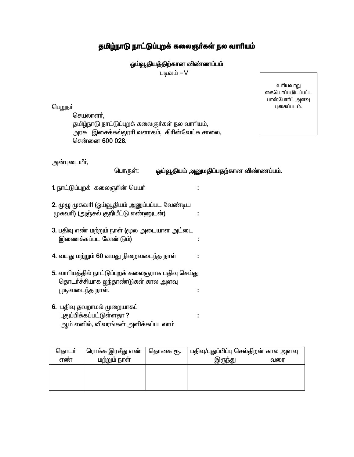## தமிழ்நாடு நாட்டுப்புறக் கலைஞர்கள் நல வாரியம்

<u>ஓய்வூதியத்திற்கான விண்ணப்பம்</u>

படிவம் $-V$ 

பெறுநர்

செயலாளர். தமிழ்நாடு நாட்டுப்புறக் கலைஞர்கள் நல வாரியம், அரசு இசைக்கல்லூரி வளாகம், கிரின்வேய்சு சாலை, சென்னை 600 028.

உரியவாறு கையொப்பமிடப்பட்ட பாஸ்போர்ட் அளவு புகைப்படம்.

அன்புடையீர்,

ஓய்வூதியம் அனுமதிப்பதற்கான விண்ணப்பம். பொருள்:

÷

÷

÷

 $\overline{z}$ 

÷

1. நாட்டுப்புறக் கலைஞரின் பெயர்

2. முழு முகவரி (ஓய்வூதியம் அனுப்பப்பட வேண்டிய (முகவரி) (அஞ்சல் குறியீட்டு எண்ணுடன்)

- 3. பதிவு எண் மற்றும் நாள் (மூல அடையாள அட்டை இணைக்கப்பட வேண்டும்)
- 4. வயது மற்றும் 60 வயது நிறைவடைந்த நாள்
- 5. வாரியத்தில் நாட்டுப்புறக் கலைஞராக பதிவு செய்து தொடர்ச்சியாக ஐந்தாண்டுகள் கால அளவு முடிவடைந்த நாள். ÷
- 6. பதிவு தவறாமல் முறையாகப் புதுப்பிக்கப்பட்டுள்ளதா ? ஆம் எனில், விவரங்கள் அளிக்கப்படலாம்

| தொடர் | ரொக்க இரசீது எண் | தொகை ரூ. | <u>பதிவ/புதுப்பிப்பு செல்திறன் கால அளவு</u> |     |
|-------|------------------|----------|---------------------------------------------|-----|
| எண    | மற்றும் நாள      |          | இருந்து                                     | வரை |
|       |                  |          |                                             |     |
|       |                  |          |                                             |     |
|       |                  |          |                                             |     |